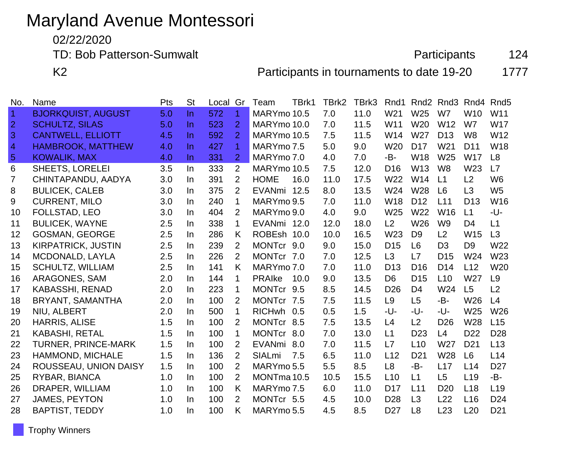# Maryland Avenue Montessori

02/22/2020

TD: Bob Patterson-Sumwalt **Participants** 124

K2 **Participants in tournaments to date 19-20** 1777

| No.            | Name                       | Pts | <b>St</b> | Local Gr |                      | Team          | TBrk1 | TBrk2 | TBrk3 | Rnd1            | Rnd <sub>2</sub> | Rnd3            | Rnd4            | Rnd <sub>5</sub> |
|----------------|----------------------------|-----|-----------|----------|----------------------|---------------|-------|-------|-------|-----------------|------------------|-----------------|-----------------|------------------|
| $\overline{1}$ | <b>BJORKQUIST, AUGUST</b>  | 5.0 | $\ln$     | 572      | $\blacktriangleleft$ | MARYmo 10.5   |       | 7.0   | 11.0  | W <sub>21</sub> | W <sub>25</sub>  | W7              | W10             | W <sub>11</sub>  |
| $\overline{2}$ | <b>SCHULTZ, SILAS</b>      | 5.0 | In.       | 523      | $\overline{2}$       | MARYmo 10.0   |       | 7.0   | 11.5  | W11             | W <sub>20</sub>  | W12             | W7              | <b>W17</b>       |
| 3              | <b>CANTWELL, ELLIOTT</b>   | 4.5 | $\ln$     | 592      | $\overline{2}$       | MARYmo 10.5   |       | 7.5   | 11.5  | W14             | W27              | D <sub>13</sub> | W <sub>8</sub>  | W12              |
| $\overline{4}$ | <b>HAMBROOK, MATTHEW</b>   | 4.0 | $\ln$     | 427      | $\mathbf{1}$         | MARYmo 7.5    |       | 5.0   | 9.0   | W <sub>20</sub> | D <sub>17</sub>  | W <sub>21</sub> | D <sub>11</sub> | W18              |
| $\overline{5}$ | <b>KOWALIK, MAX</b>        | 4.0 | In.       | 331      | $\overline{2}$       | MARYmo 7.0    |       | 4.0   | 7.0   | -B-             | W18              | W <sub>25</sub> | <b>W17</b>      | L8               |
| 6              | <b>SHEETS, LORELEI</b>     | 3.5 | In.       | 333      | 2                    | MARYmo 10.5   |       | 7.5   | 12.0  | D <sub>16</sub> | W13              | W <sub>8</sub>  | W <sub>23</sub> | L7               |
| 7              | CHINTAPANDU, AADYA         | 3.0 | In.       | 391      | 2                    | <b>HOME</b>   | 16.0  | 11.0  | 17.5  | W <sub>22</sub> | W14              | L1              | L <sub>2</sub>  | W <sub>6</sub>   |
| 8              | <b>BULICEK, CALEB</b>      | 3.0 | In.       | 375      | $\overline{2}$       | EVANmi 12.5   |       | 8.0   | 13.5  | W24             | W28              | L <sub>6</sub>  | L3              | W <sub>5</sub>   |
| 9              | <b>CURRENT, MILO</b>       | 3.0 | In.       | 240      | 1                    | MARYmo 9.5    |       | 7.0   | 11.0  | W18             | D <sub>12</sub>  | L11             | D <sub>13</sub> | W16              |
| 10             | <b>FOLLSTAD, LEO</b>       | 3.0 | In.       | 404      | $\overline{2}$       | MARYmo 9.0    |       | 4.0   | 9.0   | W25             | W22              | W <sub>16</sub> | L1              | -U-              |
| 11             | <b>BULICEK, WAYNE</b>      | 2.5 | In.       | 338      | 1                    | EVANmi 12.0   |       | 12.0  | 18.0  | L <sub>2</sub>  | W26              | W <sub>9</sub>  | D <sub>4</sub>  | L1               |
| 12             | <b>GOSMAN, GEORGE</b>      | 2.5 | In.       | 286      | K                    | ROBEsh 10.0   |       | 10.0  | 16.5  | W23             | D <sub>9</sub>   | L2              | W <sub>15</sub> | L3               |
| 13             | KIRPATRICK, JUSTIN         | 2.5 | In.       | 239      | 2                    | MONTcr 9.0    |       | 9.0   | 15.0  | D <sub>15</sub> | L <sub>6</sub>   | D <sub>3</sub>  | D <sub>9</sub>  | W22              |
| 14             | MCDONALD, LAYLA            | 2.5 | In        | 226      | $\overline{2}$       | MONTcr 7.0    |       | 7.0   | 12.5  | L3              | L7               | D <sub>15</sub> | W24             | W <sub>23</sub>  |
| 15             | <b>SCHULTZ, WILLIAM</b>    | 2.5 | In        | 141      | K                    | MARYmo 7.0    |       | 7.0   | 11.0  | D <sub>13</sub> | D <sub>16</sub>  | D <sub>14</sub> | L12             | W20              |
| 16             | ARAGONES, SAM              | 2.0 | In.       | 144      | 1                    | <b>PRAIke</b> | 10.0  | 9.0   | 13.5  | D <sub>6</sub>  | D <sub>15</sub>  | L10             | W27             | L <sub>9</sub>   |
| 17             | <b>KABASSHI, RENAD</b>     | 2.0 | In        | 223      | 1                    | MONTcr 9.5    |       | 8.5   | 14.5  | D <sub>26</sub> | D <sub>4</sub>   | W24             | L5              | L2               |
| 18             | BRYANT, SAMANTHA           | 2.0 | In.       | 100      | 2                    | MONTcr 7.5    |       | 7.5   | 11.5  | L9              | L <sub>5</sub>   | -B-             | W26             | L4               |
| 19             | NIU, ALBERT                | 2.0 | In.       | 500      | 1                    | <b>RICHwh</b> | 0.5   | 0.5   | 1.5   | -U-             | -U-              | -U-             | W25             | W26              |
| 20             | <b>HARRIS, ALISE</b>       | 1.5 | In        | 100      | $\overline{2}$       | MONTcr 8.5    |       | 7.5   | 13.5  | L4              | L2               | D <sub>26</sub> | W28             | L15              |
| 21             | <b>KABASHI, RETAL</b>      | 1.5 | In.       | 100      | 1                    | MONTcr 8.0    |       | 7.0   | 13.0  | L1              | D <sub>23</sub>  | L4              | D <sub>22</sub> | D <sub>28</sub>  |
| 22             | <b>TURNER, PRINCE-MARK</b> | 1.5 | In        | 100      | 2                    | <b>EVANmi</b> | 8.0   | 7.0   | 11.5  | L7              | L10              | W27             | D <sub>21</sub> | L13              |
| 23             | HAMMOND, MICHALE           | 1.5 | In.       | 136      | 2                    | <b>SIALmi</b> | 7.5   | 6.5   | 11.0  | L12             | D <sub>21</sub>  | W28             | L <sub>6</sub>  | L14              |
| 24             | ROUSSEAU, UNION DAISY      | 1.5 | In.       | 100      | $\overline{2}$       | MARYmo 5.5    |       | 5.5   | 8.5   | L <sub>8</sub>  | -B-              | L17             | L14             | D <sub>27</sub>  |
| 25             | RYBAR, BIANCA              | 1.0 | In.       | 100      | 2                    | MONTma 10.5   |       | 10.5  | 15.5  | L10             | L1               | L <sub>5</sub>  | L <sub>19</sub> | -B-              |
| 26             | DRAPER, WILLIAM            | 1.0 | In        | 100      | K                    | MARYmo 7.5    |       | 6.0   | 11.0  | D <sub>17</sub> | L11              | D <sub>20</sub> | L18             | L <sub>19</sub>  |
| 27             | <b>JAMES, PEYTON</b>       | 1.0 | In.       | 100      | 2                    | MONTCr 5.5    |       | 4.5   | 10.0  | D <sub>28</sub> | L3               | L22             | L16             | D <sub>24</sub>  |
| 28             | <b>BAPTIST, TEDDY</b>      | 1.0 | In.       | 100      | K                    | MARYmo 5.5    |       | 4.5   | 8.5   | D <sub>27</sub> | L8               | L23             | L20             | D <sub>21</sub>  |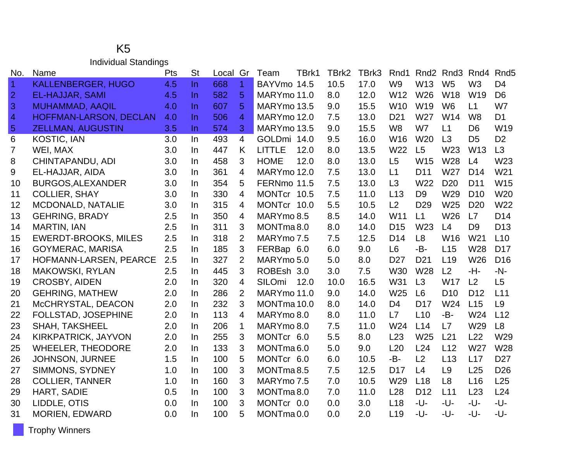### K5 Individual Standings

| No.            | Name                        | Pts | <b>St</b> | Local Gr |                | TBrk1<br>Team         | TBrk2 | TBrk3 | Rnd1            | Rnd <sub>2</sub> | Rnd3            | Rnd4            | Rnd <sub>5</sub> |
|----------------|-----------------------------|-----|-----------|----------|----------------|-----------------------|-------|-------|-----------------|------------------|-----------------|-----------------|------------------|
| $\overline{1}$ | <b>KALLENBERGER, HUGO</b>   | 4.5 | $\ln$     | 668      | $\overline{1}$ | BAYVmo 14.5           | 10.5  | 17.0  | W <sub>9</sub>  | W13              | W <sub>5</sub>  | W <sub>3</sub>  | D <sub>4</sub>   |
| $\overline{2}$ | <b>EL-HAJJAR, SAMI</b>      | 4.5 | $\ln$     | 582      | 5              | MARYmo 11.0           | 8.0   | 12.0  | W <sub>12</sub> | W26              | W18             | W19             | D <sub>6</sub>   |
| 3              | <b>MUHAMMAD, AAQIL</b>      | 4.0 | In        | 607      | 5              | MARYmo 13.5           | 9.0   | 15.5  | W10             | W19              | W <sub>6</sub>  | L1              | W7               |
| $\overline{4}$ | HOFFMAN-LARSON, DECLAN      | 4.0 | In.       | 506      | 4              | MARYmo 12.0           | 7.5   | 13.0  | D <sub>21</sub> | W27              | W14             | W <sub>8</sub>  | D <sub>1</sub>   |
| $\overline{5}$ | <b>ZELLMAN, AUGUSTIN</b>    | 3.5 | In.       | 574      | 3              | MARYmo 13.5           | 9.0   | 15.5  | W <sub>8</sub>  | W7               | L1              | D <sub>6</sub>  | W <sub>19</sub>  |
| 6              | <b>KOSTIC, IAN</b>          | 3.0 | $\ln$     | 493      | $\overline{4}$ | GOLDmi 14.0           | 9.5   | 16.0  | W16             | W <sub>20</sub>  | L3              | D <sub>5</sub>  | D <sub>2</sub>   |
| $\overline{7}$ | WEI, MAX                    | 3.0 | $\ln$     | 447      | K              | <b>LITTLE</b><br>12.0 | 8.0   | 13.5  | W22             | L5               | W <sub>23</sub> | W <sub>13</sub> | L3               |
| 8              | CHINTAPANDU, ADI            | 3.0 | In.       | 458      | 3              | <b>HOME</b><br>12.0   | 8.0   | 13.0  | L5              | W15              | W28             | L4              | W23              |
| 9              | EL-HAJJAR, AIDA             | 3.0 | In.       | 361      | 4              | MARYmo 12.0           | 7.5   | 13.0  | L1              | D <sub>11</sub>  | W27             | D <sub>14</sub> | W21              |
| 10             | <b>BURGOS, ALEXANDER</b>    | 3.0 | $\ln$     | 354      | 5              | FERNmo 11.5           | 7.5   | 13.0  | L <sub>3</sub>  | W22              | D <sub>20</sub> | D <sub>11</sub> | W15              |
| 11             | <b>COLLIER, SHAY</b>        | 3.0 | In.       | 330      | 4              | MONTcr 10.5           | 7.5   | 11.0  | L13             | D <sub>9</sub>   | W29             | D <sub>10</sub> | W20              |
| 12             | MCDONALD, NATALIE           | 3.0 | In.       | 315      | 4              | MONTcr 10.0           | 5.5   | 10.5  | L2              | D <sub>29</sub>  | W25             | D <sub>20</sub> | W22              |
| 13             | <b>GEHRING, BRADY</b>       | 2.5 | In.       | 350      | 4              | MARYmo 8.5            | 8.5   | 14.0  | W11             | L1               | W <sub>26</sub> | L7              | D <sub>14</sub>  |
| 14             | <b>MARTIN, IAN</b>          | 2.5 | In.       | 311      | 3              | MONTma8.0             | 8.0   | 14.0  | D <sub>15</sub> | W23              | L4              | D <sub>9</sub>  | D <sub>13</sub>  |
| 15             | <b>EWERDT-BROOKS, MILES</b> | 2.5 | In.       | 318      | $\overline{2}$ | MARYmo 7.5            | 7.5   | 12.5  | D <sub>14</sub> | L8               | W16             | W <sub>21</sub> | L10              |
| 16             | <b>GOYMERAC, MARISA</b>     | 2.5 | In        | 185      | 3              | FERBap 6.0            | 6.0   | 9.0   | L <sub>6</sub>  | -B-              | L15             | W28             | D <sub>17</sub>  |
| 17             | HOFMANN-LARSEN, PEARCE      | 2.5 | In.       | 327      | $\overline{2}$ | MARYmo 5.0            | 5.0   | 8.0   | D <sub>27</sub> | D <sub>21</sub>  | L <sub>19</sub> | W26             | D <sub>16</sub>  |
| 18             | <b>MAKOWSKI, RYLAN</b>      | 2.5 | In.       | 445      | 3              | ROBEsh 3.0            | 3.0   | 7.5   | <b>W30</b>      | W28              | L2              | -H-             | $-N-$            |
| 19             | <b>CROSBY, AIDEN</b>        | 2.0 | In.       | 320      | 4              | <b>SILOmi</b><br>12.0 | 10.0  | 16.5  | W31             | L3               | <b>W17</b>      | L2              | L <sub>5</sub>   |
| 20             | <b>GEHRING, MATHEW</b>      | 2.0 | In        | 286      | $\overline{2}$ | MARYmo 11.0           | 9.0   | 14.0  | W25             | L6               | D <sub>10</sub> | D <sub>12</sub> | L11              |
| 21             | McCHRYSTAL, DEACON          | 2.0 | In        | 232      | 3              | MONTma 10.0           | 8.0   | 14.0  | D4              | D <sub>17</sub>  | W24             | L15             | L <sub>9</sub>   |
| 22             | FOLLSTAD, JOSEPHINE         | 2.0 | In.       | 113      | 4              | MARYmo 8.0            | 8.0   | 11.0  | L7              | L10              | -B-             | W24             | L12              |
| 23             | <b>SHAH, TAKSHEEL</b>       | 2.0 | In.       | 206      | $\mathbf{1}$   | MARYmo 8.0            | 7.5   | 11.0  | W24             | L14              | L7              | W29             | L8               |
| 24             | KIRKPATRICK, JAYVON         | 2.0 | $\ln$     | 255      | 3              | MONTcr 6.0            | 5.5   | 8.0   | L23             | W <sub>25</sub>  | L21             | L22             | W <sub>29</sub>  |
| 25             | <b>WHEELER, THEODORE</b>    | 2.0 | In.       | 133      | 3              | MONTma <sub>6.0</sub> | 5.0   | 9.0   | L20             | L24              | L12             | W27             | <b>W28</b>       |
| 26             | <b>JOHNSON, JURNEE</b>      | 1.5 | In.       | 100      | 5              | MONTcr 6.0            | 6.0   | 10.5  | -B-             | L2               | L13             | L17             | D <sub>27</sub>  |
| 27             | SIMMONS, SYDNEY             | 1.0 | In        | 100      | 3              | MONTma <sub>8.5</sub> | 7.5   | 12.5  | D <sub>17</sub> | L4               | L <sub>9</sub>  | L25             | D <sub>26</sub>  |
| 28             | <b>COLLIER, TANNER</b>      | 1.0 | In.       | 160      | 3              | MARYmo 7.5            | 7.0   | 10.5  | W <sub>29</sub> | L18              | L <sub>8</sub>  | L16             | L25              |
| 29             | HART, SADIE                 | 0.5 | In        | 100      | 3              | MONTma8.0             | 7.0   | 11.0  | L28             | D <sub>12</sub>  | L11             | L23             | L24              |
| 30             | LIDDLE, OTIS                | 0.0 | In.       | 100      | 3              | MONTcr 0.0            | 0.0   | 3.0   | L <sub>18</sub> | -U-              | -U-             | -U-             | -U-              |
| 31             | <b>MORIEN, EDWARD</b>       | 0.0 | In.       | 100      | 5              | MONTma <sub>0.0</sub> | 0.0   | 2.0   | L <sub>19</sub> | -U-              | -U-             | -U-             | -U-              |

Trophy Winners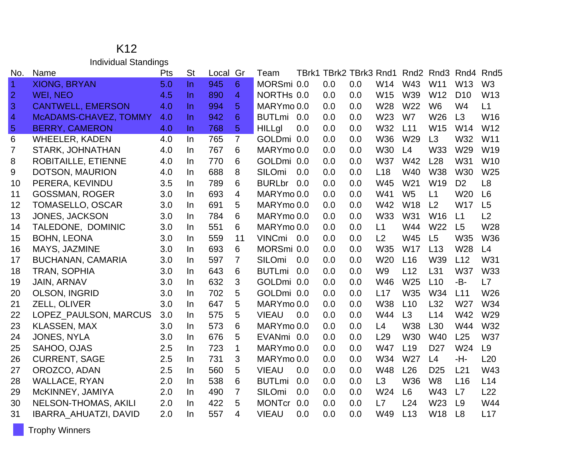### K12 Individual Standings

| No.            | Name                         | Pts | <b>St</b> | Local | Gr             | Team                 | TBrk1 TBrk2 TBrk3 Rnd1 |     |                 | Rnd <sub>2</sub> | Rnd3            | Rnd4            | Rnd <sub>5</sub> |
|----------------|------------------------------|-----|-----------|-------|----------------|----------------------|------------------------|-----|-----------------|------------------|-----------------|-----------------|------------------|
| $\overline{1}$ | <b>XIONG, BRYAN</b>          | 5.0 | $\ln$     | 945   | 6              | MORSmi 0.0           | 0.0                    | 0.0 | W14             | W43              | W11             | W <sub>13</sub> | W <sub>3</sub>   |
| $\overline{2}$ | <b>WEI, NEO</b>              | 4.5 | $\ln$     | 890   | $\overline{4}$ | NORTHs 0.0           | 0.0                    | 0.0 | W15             | W39              | W12             | D <sub>10</sub> | W13              |
| 3              | <b>CANTWELL, EMERSON</b>     | 4.0 | $\ln$     | 994   | 5              | MARYmo 0.0           | 0.0                    | 0.0 | W28             | W22              | W <sub>6</sub>  | W4              | L1               |
| $\overline{4}$ | McADAMS-CHAVEZ, TOMMY        | 4.0 | $\ln$     | 942   | 6              | BUTLmi 0.0           | 0.0                    | 0.0 | W23             | W7               | W26             | L3              | W16              |
| $\overline{5}$ | <b>BERRY, CAMERON</b>        | 4.0 | $\ln$     | 768   | 5              | <b>HILLgl</b><br>0.0 | 0.0                    | 0.0 | W32             | L11              | W15             | W14             | W12              |
| 6              | <b>WHEELER, KADEN</b>        | 4.0 | $\ln$     | 765   | $\overline{7}$ | GOLDmi 0.0           | 0.0                    | 0.0 | <b>W36</b>      | W <sub>29</sub>  | L3              | W32             | W11              |
| $\overline{7}$ | STARK, JOHNATHAN             | 4.0 | In        | 767   | 6              | MARYmo 0.0           | 0.0                    | 0.0 | W30             | L4               | W33             | W29             | W19              |
| 8              | <b>ROBITAILLE, ETIENNE</b>   | 4.0 | In.       | 770   | 6              | GOLDmi 0.0           | 0.0                    | 0.0 | <b>W37</b>      | W42              | L28             | W31             | W <sub>10</sub>  |
| 9              | DOTSON, MAURION              | 4.0 | $\ln$     | 688   | 8              | SILOmi<br>0.0        | 0.0                    | 0.0 | L <sub>18</sub> | W40              | <b>W38</b>      | W30             | W25              |
| 10             | PERERA, KEVINDU              | 3.5 | In.       | 789   | 6              | <b>BURLbr</b><br>0.0 | 0.0                    | 0.0 | W45             | W21              | W19             | D <sub>2</sub>  | L <sub>8</sub>   |
| 11             | <b>GOSSMAN, ROGER</b>        | 3.0 | In.       | 693   | $\overline{4}$ | MARYmo 0.0           | 0.0                    | 0.0 | W41             | W <sub>5</sub>   | L1              | W <sub>20</sub> | L <sub>6</sub>   |
| 12             | <b>TOMASELLO, OSCAR</b>      | 3.0 | In.       | 691   | 5              | MARYmo 0.0           | 0.0                    | 0.0 | W42             | <b>W18</b>       | L2              | <b>W17</b>      | L5               |
| 13             | <b>JONES, JACKSON</b>        | 3.0 | In.       | 784   | 6              | MARYmo 0.0           | 0.0                    | 0.0 | W33             | W31              | W16             | L1              | L2               |
| 14             | TALEDONE, DOMINIC            | 3.0 | In.       | 551   | 6              | MARYmo 0.0           | 0.0                    | 0.0 | L1              | W44              | W <sub>22</sub> | L5              | W28              |
| 15             | <b>BOHN, LEONA</b>           | 3.0 | In        | 559   | 11             | VINCmi<br>0.0        | 0.0                    | 0.0 | L2              | W45              | L5              | W35             | <b>W36</b>       |
| 16             | MAYS, JAZMINE                | 3.0 | In.       | 693   | 6              | MORSmi 0.0           | 0.0                    | 0.0 | W35             | <b>W17</b>       | L13             | W28             | L4               |
| 17             | <b>BUCHANAN, CAMARIA</b>     | 3.0 | In        | 597   | $\overline{7}$ | SILOmi<br>0.0        | 0.0                    | 0.0 | W <sub>20</sub> | L16              | W39             | L12             | W31              |
| 18             | TRAN, SOPHIA                 | 3.0 | In.       | 643   | 6              | <b>BUTLmi</b><br>0.0 | 0.0                    | 0.0 | W <sub>9</sub>  | L12              | L31             | <b>W37</b>      | W33              |
| 19             | <b>JAIN, ARNAV</b>           | 3.0 | In.       | 632   | 3              | GOLDmi 0.0           | 0.0                    | 0.0 | W46             | W25              | L10             | -B-             | L7               |
| 20             | OLSON, INGRID                | 3.0 | In        | 702   | 5              | GOLDmi 0.0           | 0.0                    | 0.0 | L17             | W35              | W34             | L11             | W26              |
| 21             | ZELL, OLIVER                 | 3.0 | In.       | 647   | 5              | MARYmo 0.0           | 0.0                    | 0.0 | <b>W38</b>      | L10              | L32             | W27             | W34              |
| 22             | LOPEZ_PAULSON, MARCUS        | 3.0 | In.       | 575   | 5              | <b>VIEAU</b><br>0.0  | 0.0                    | 0.0 | W44             | L3               | L14             | W42             | W29              |
| 23             | <b>KLASSEN, MAX</b>          | 3.0 | In        | 573   | 6              | MARYmo 0.0           | 0.0                    | 0.0 | L4              | <b>W38</b>       | L30             | W44             | W32              |
| 24             | <b>JONES, NYLA</b>           | 3.0 | In.       | 676   | 5              | EVANmi 0.0           | 0.0                    | 0.0 | L <sub>29</sub> | <b>W30</b>       | <b>W40</b>      | L25             | <b>W37</b>       |
| 25             | SAHOO, OJAS                  | 2.5 | In        | 723   | $\mathbf 1$    | MARYmo 0.0           | 0.0                    | 0.0 | <b>W47</b>      | L <sub>19</sub>  | D <sub>27</sub> | W24             | L9               |
| 26             | <b>CURRENT, SAGE</b>         | 2.5 | In.       | 731   | 3              | MARYmo 0.0           | 0.0                    | 0.0 | W34             | W27              | L4              | -H-             | L20              |
| 27             | OROZCO, ADAN                 | 2.5 | In        | 560   | 5              | <b>VIEAU</b><br>0.0  | 0.0                    | 0.0 | W48             | L26              | D <sub>25</sub> | L21             | W43              |
| 28             | <b>WALLACE, RYAN</b>         | 2.0 | In.       | 538   | 6              | <b>BUTLmi</b><br>0.0 | 0.0                    | 0.0 | L3              | W36              | W <sub>8</sub>  | L <sub>16</sub> | L14              |
| 29             | McKINNEY, JAMIYA             | 2.0 | In.       | 490   | 7              | SILOmi<br>0.0        | 0.0                    | 0.0 | W24             | L <sub>6</sub>   | W43             | L7              | L22              |
| 30             | <b>NELSON-THOMAS, AKILI</b>  | 2.0 | In        | 422   | 5              | <b>MONTcr</b><br>0.0 | 0.0                    | 0.0 | L7              | L24              | W23             | L9              | W44              |
| 31             | <b>IBARRA_AHUATZI, DAVID</b> | 2.0 | <b>In</b> | 557   | 4              | <b>VIEAU</b><br>0.0  | 0.0                    | 0.0 | W49             | L13              | W18             | L8              | L17              |

Trophy Winners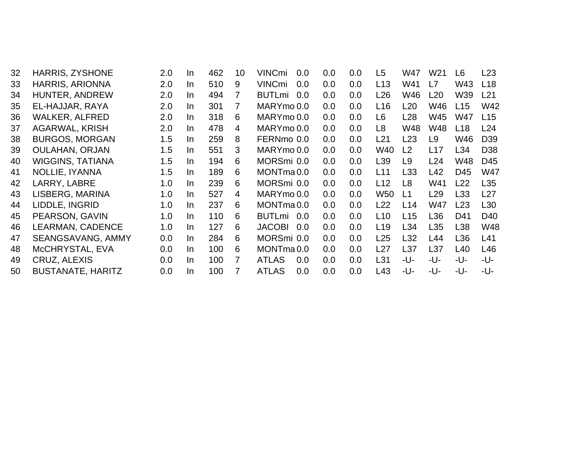| 32 | <b>HARRIS, ZYSHONE</b>   | 2.0 | <u>In</u> | 462 | 10 | <b>VINCmi</b><br>0.0  | 0.0 | 0.0 | L5              | W47            | W <sub>21</sub> | L <sub>6</sub>  | L23             |
|----|--------------------------|-----|-----------|-----|----|-----------------------|-----|-----|-----------------|----------------|-----------------|-----------------|-----------------|
| 33 | <b>HARRIS, ARIONNA</b>   | 2.0 | In.       | 510 | 9  | <b>VINCmi</b><br>0.0  | 0.0 | 0.0 | L <sub>13</sub> | W41            | L7              | W43             | L <sub>18</sub> |
| 34 | HUNTER, ANDREW           | 2.0 | In.       | 494 | 7  | <b>BUTLmi</b><br>0.0  | 0.0 | 0.0 | L <sub>26</sub> | W46            | L20             | W39             | L21             |
| 35 | EL-HAJJAR, RAYA          | 2.0 | In        | 301 |    | MARYmo 0.0            | 0.0 | 0.0 | L <sub>16</sub> | L20            | W46             | L15             | W42             |
| 36 | <b>WALKER, ALFRED</b>    | 2.0 | In.       | 318 | 6  | MARYmo 0.0            | 0.0 | 0.0 | L <sub>6</sub>  | L28            | W45             | W47             | L15             |
| 37 | <b>AGARWAL, KRISH</b>    | 2.0 | In.       | 478 | 4  | MARYmo 0.0            | 0.0 | 0.0 | L <sub>8</sub>  | W48            | W48             | L18             | L24             |
| 38 | <b>BURGOS, MORGAN</b>    | 1.5 | In        | 259 | 8  | FERNmo 0.0            | 0.0 | 0.0 | L21             | L23            | L9              | W46             | D <sub>39</sub> |
| 39 | <b>OULAHAN, ORJAN</b>    | 1.5 | In.       | 551 | 3  | MARYmo 0.0            | 0.0 | 0.0 | W40             | L2             | L17             | L34             | D <sub>38</sub> |
| 40 | <b>WIGGINS, TATIANA</b>  | 1.5 | In.       | 194 | 6  | MORSmi 0.0            | 0.0 | 0.0 | L <sub>39</sub> | L <sub>9</sub> | L24             | W48             | D45             |
| 41 | NOLLIE, IYANNA           | 1.5 | In        | 189 | 6  | MONTma <sub>0.0</sub> | 0.0 | 0.0 | L11             | L33            | L42             | D45             | <b>W47</b>      |
| 42 | LARRY, LABRE             | 1.0 | In.       | 239 | 6  | MORSmi 0.0            | 0.0 | 0.0 | L <sub>12</sub> | L <sub>8</sub> | W41             | L22             | L <sub>35</sub> |
| 43 | LISBERG, MARINA          | 1.0 | In.       | 527 | 4  | MARYmo 0.0            | 0.0 | 0.0 | W <sub>50</sub> | L1             | L29             | L <sub>33</sub> | L27             |
| 44 | LIDDLE, INGRID           | 1.0 | In.       | 237 | 6  | MONTma <sub>0.0</sub> | 0.0 | 0.0 | L22             | L14            | W47             | L23             | L <sub>30</sub> |
| 45 | PEARSON, GAVIN           | 1.0 | In.       | 110 | 6  | 0.0<br><b>BUTLmi</b>  | 0.0 | 0.0 | L <sub>10</sub> | L15            | L36             | D41             | D40             |
| 46 | LEARMAN, CADENCE         | 1.0 | In.       | 127 | 6  | <b>JACOBI</b><br>0.0  | 0.0 | 0.0 | L <sub>19</sub> | L34            | L <sub>35</sub> | L38             | <b>W48</b>      |
| 47 | SEANGSAVANG, AMMY        | 0.0 | In.       | 284 | 6  | MORSmi 0.0            | 0.0 | 0.0 | L25             | L32            | L44             | L36             | L41             |
| 48 | McCHRYSTAL, EVA          | 0.0 | In.       | 100 | 6  | MONTma <sub>0.0</sub> | 0.0 | 0.0 | L27             | L37            | L <sub>37</sub> | L40             | L46             |
| 49 | CRUZ, ALEXIS             | 0.0 | In.       | 100 | 7  | <b>ATLAS</b><br>0.0   | 0.0 | 0.0 | L31             | -U-            | -U-             | -U-             | -U-             |
| 50 | <b>BUSTANATE, HARITZ</b> | 0.0 | In        | 100 | 7  | <b>ATLAS</b><br>0.0   | 0.0 | 0.0 | L43             | -U-            | -U-             | -U-             | -U-             |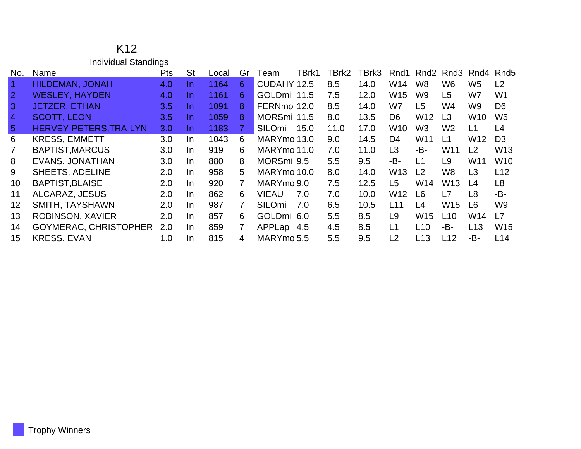|                | <b>Individual Standings</b>  |            |           |       |                |               |       |       |       |                 |                 |                 |                 |                |
|----------------|------------------------------|------------|-----------|-------|----------------|---------------|-------|-------|-------|-----------------|-----------------|-----------------|-----------------|----------------|
| No.            | Name                         | <b>Pts</b> | <b>St</b> | Local | Gr             | Team          | TBrk1 | TBrk2 | TBrk3 | Rnd1            | Rnd2            | Rnd3            |                 | Rnd4 Rnd5      |
| Æ              | <b>HILDEMAN, JONAH</b>       | 4.0        | In.       | 1164  | 6              | CUDAHY 12.5   |       | 8.5   | 14.0  | W14             | W <sub>8</sub>  | W <sub>6</sub>  | W <sub>5</sub>  | L2             |
| $\overline{2}$ | <b>WESLEY, HAYDEN</b>        | 4.0        | In.       | 1161  | 6              | GOLDmi 11.5   |       | 7.5   | 12.0  | W15             | W <sub>9</sub>  | L <sub>5</sub>  | W7              | W <sub>1</sub> |
| $\mathbf{3}$   | <b>JETZER, ETHAN</b>         | 3.5        | In.       | 1091  | 8              | FERNmo 12.0   |       | 8.5   | 14.0  | W7              | L5              | W4              | W9              | D <sub>6</sub> |
| $\overline{4}$ | <b>SCOTT, LEON</b>           | 3.5        | In.       | 1059  | 8              | MORSmi 11.5   |       | 8.0   | 13.5  | D <sub>6</sub>  | W <sub>12</sub> | L <sub>3</sub>  | W <sub>10</sub> | W <sub>5</sub> |
| $\sqrt{5}$     | HERVEY-PETERS, TRA-LYN       | 3.0        | In.       | 1183  | 7.             | <b>SILOmi</b> | 15.0  | 11.0  | 17.0  | W <sub>10</sub> | W3              | W <sub>2</sub>  | L1              | L4             |
| 6              | <b>KRESS, EMMETT</b>         | 3.0        | In.       | 1043  | 6              | MARYmo 13.0   |       | 9.0   | 14.5  | D <sub>4</sub>  | W11             | L1              | W <sub>12</sub> | D <sub>3</sub> |
| $\overline{7}$ | <b>BAPTIST, MARCUS</b>       | 3.0        | $\ln$     | 919   | 6              | MARYmo 11.0   |       | 7.0   | 11.0  | L <sub>3</sub>  | -B-             | W11             | L2              | W13            |
| 8              | <b>EVANS, JONATHAN</b>       | 3.0        | In.       | 880   | 8              | MORSmi 9.5    |       | 5.5   | 9.5   | -B-             | L1              | L <sub>9</sub>  | W11             | <b>W10</b>     |
| 9              | <b>SHEETS, ADELINE</b>       | 2.0        | $\ln$     | 958   | 5              | MARYmo 10.0   |       | 8.0   | 14.0  | W13             | L <sub>2</sub>  | W <sub>8</sub>  | L3              | L12            |
| 10             | <b>BAPTIST, BLAISE</b>       | 2.0        | $\ln$     | 920   | $\overline{7}$ | MARYmo 9.0    |       | 7.5   | 12.5  | L <sub>5</sub>  | W14             | W <sub>13</sub> | L4              | L8             |
| 11             | <b>ALCARAZ, JESUS</b>        | 2.0        | $\ln$     | 862   | 6              | VIEAU         | 7.0   | 7.0   | 10.0  | W12             | L6              | L7              | L <sub>8</sub>  | -B-            |
| 12             | <b>SMITH, TAYSHAWN</b>       | 2.0        | $\ln$     | 987   | 7              | <b>SILOmi</b> | 7.0   | 6.5   | 10.5  | L11             | L4              | <b>W15</b>      | L <sub>6</sub>  | W <sub>9</sub> |
| 13             | ROBINSON, XAVIER             | 2.0        | $\ln$     | 857   | 6              | GOLDmi 6.0    |       | 5.5   | 8.5   | L <sub>9</sub>  | W <sub>15</sub> | L10             | W14             | L7             |
| 14             | <b>GOYMERAC, CHRISTOPHER</b> | 2.0        | In.       | 859   | 7              | APPLap        | 4.5   | 4.5   | 8.5   | L1              | L <sub>10</sub> | -B-             | L13             | <b>W15</b>     |
| 15             | <b>KRESS, EVAN</b>           | 1.0        | In        | 815   | 4              | MARYmo 5.5    |       | 5.5   | 9.5   | L2              | L13             | L12             | -B-             | L14            |

K12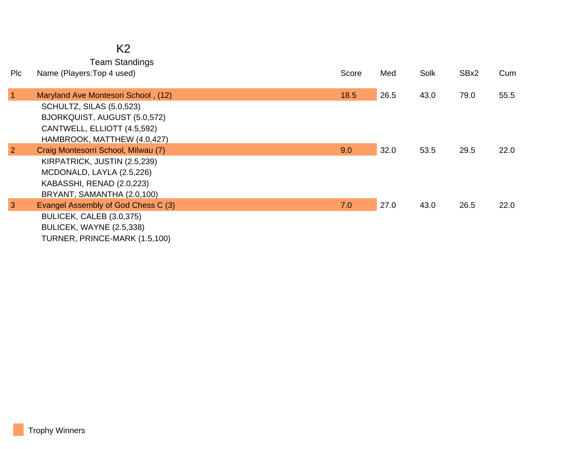## K2

Team Standings

| Plc            | Name (Players: Top 4 used)          | Score | Med  | Solk | SBx2 | Cum  |
|----------------|-------------------------------------|-------|------|------|------|------|
|                |                                     |       |      |      |      |      |
| $\vert$ 1      | Maryland Ave Montesori School, (12) | 18.5  | 26.5 | 43.0 | 79.0 | 55.5 |
|                | <b>SCHULTZ, SILAS (5.0,523)</b>     |       |      |      |      |      |
|                | BJORKQUIST, AUGUST (5.0,572)        |       |      |      |      |      |
|                | CANTWELL, ELLIOTT (4.5,592)         |       |      |      |      |      |
|                | HAMBROOK, MATTHEW (4.0,427)         |       |      |      |      |      |
| $\overline{2}$ | Craig Montesorri School, Milwau (7) | 9.0   | 32.0 | 53.5 | 29.5 | 22.0 |
|                | KIRPATRICK, JUSTIN (2.5,239)        |       |      |      |      |      |
|                | MCDONALD, LAYLA (2.5,226)           |       |      |      |      |      |
|                | KABASSHI, RENAD (2.0,223)           |       |      |      |      |      |
|                | BRYANT, SAMANTHA (2.0,100)          |       |      |      |      |      |
| $\mathbf{3}$   | Evangel Assembly of God Chess C (3) | 7.0   | 27.0 | 43.0 | 26.5 | 22.0 |
|                | BULICEK, CALEB (3.0,375)            |       |      |      |      |      |
|                | BULICEK, WAYNE (2.5,338)            |       |      |      |      |      |
|                | TURNER, PRINCE-MARK (1.5,100)       |       |      |      |      |      |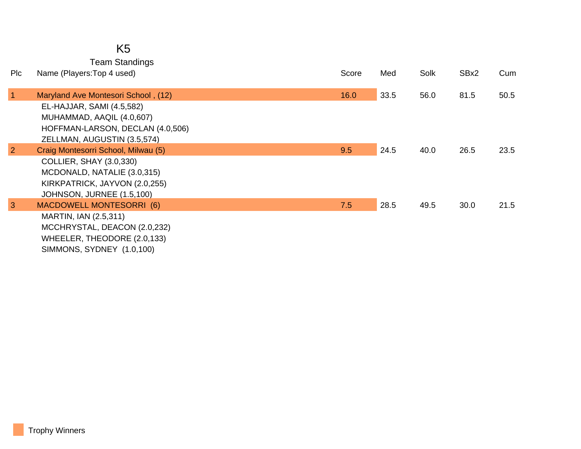|                | <b>Team Standings</b>                                            |       |      |      |      |      |
|----------------|------------------------------------------------------------------|-------|------|------|------|------|
| Plc            | Name (Players: Top 4 used)                                       | Score | Med  | Solk | SBx2 | Cum  |
| $\vert$ 1      | Maryland Ave Montesori School, (12)<br>EL-HAJJAR, SAMI (4.5,582) | 16.0  | 33.5 | 56.0 | 81.5 | 50.5 |
|                | MUHAMMAD, AAQIL (4.0,607)                                        |       |      |      |      |      |
|                | HOFFMAN-LARSON, DECLAN (4.0,506)                                 |       |      |      |      |      |
|                | ZELLMAN, AUGUSTIN (3.5,574)                                      |       |      |      |      |      |
| $\overline{2}$ | Craig Montesorri School, Milwau (5)                              | 9.5   | 24.5 | 40.0 | 26.5 | 23.5 |
|                | COLLIER, SHAY (3.0,330)                                          |       |      |      |      |      |
|                | MCDONALD, NATALIE (3.0,315)                                      |       |      |      |      |      |
|                | KIRKPATRICK, JAYVON (2.0,255)                                    |       |      |      |      |      |
|                | JOHNSON, JURNEE (1.5,100)                                        |       |      |      |      |      |
| $\mathbf{3}$   | <b>MACDOWELL MONTESORRI (6)</b>                                  | 7.5   | 28.5 | 49.5 | 30.0 | 21.5 |
|                | MARTIN, IAN (2.5,311)                                            |       |      |      |      |      |
|                | MCCHRYSTAL, DEACON (2.0,232)                                     |       |      |      |      |      |
|                | WHEELER, THEODORE (2.0,133)                                      |       |      |      |      |      |
|                | SIMMONS, SYDNEY (1.0,100)                                        |       |      |      |      |      |

Trophy Winners

K5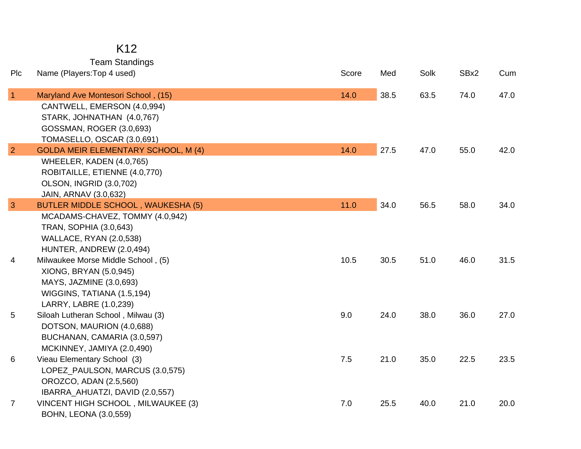| K12 |  |
|-----|--|
|     |  |

Team Standings<br>s:Top 4 used)

| Plc             | Name (Players: Top 4 used)                 | Score | Med  | Solk | SBx2 | Cum  |
|-----------------|--------------------------------------------|-------|------|------|------|------|
| $\overline{1}$  | Maryland Ave Montesori School, (15)        | 14.0  | 38.5 | 63.5 | 74.0 | 47.0 |
|                 | CANTWELL, EMERSON (4.0,994)                |       |      |      |      |      |
|                 | STARK, JOHNATHAN (4.0,767)                 |       |      |      |      |      |
|                 | GOSSMAN, ROGER (3.0,693)                   |       |      |      |      |      |
|                 | TOMASELLO, OSCAR (3.0,691)                 |       |      |      |      |      |
| $\overline{2}$  | <b>GOLDA MEIR ELEMENTARY SCHOOL, M (4)</b> | 14.0  | 27.5 | 47.0 | 55.0 | 42.0 |
|                 | WHEELER, KADEN (4.0,765)                   |       |      |      |      |      |
|                 | ROBITAILLE, ETIENNE (4.0,770)              |       |      |      |      |      |
|                 | <b>OLSON, INGRID (3.0,702)</b>             |       |      |      |      |      |
|                 | JAIN, ARNAV (3.0,632)                      |       |      |      |      |      |
| $\overline{3}$  | <b>BUTLER MIDDLE SCHOOL, WAUKESHA (5)</b>  | 11.0  | 34.0 | 56.5 | 58.0 | 34.0 |
|                 | MCADAMS-CHAVEZ, TOMMY (4.0,942)            |       |      |      |      |      |
|                 | TRAN, SOPHIA (3.0,643)                     |       |      |      |      |      |
|                 | <b>WALLACE, RYAN (2.0,538)</b>             |       |      |      |      |      |
|                 | HUNTER, ANDREW (2.0,494)                   |       |      |      |      |      |
| 4               | Milwaukee Morse Middle School, (5)         | 10.5  | 30.5 | 51.0 | 46.0 | 31.5 |
|                 | XIONG, BRYAN (5.0,945)                     |       |      |      |      |      |
|                 | MAYS, JAZMINE (3.0,693)                    |       |      |      |      |      |
|                 | WIGGINS, TATIANA (1.5,194)                 |       |      |      |      |      |
|                 | LARRY, LABRE (1.0,239)                     |       |      |      |      |      |
| $5\phantom{.0}$ | Siloah Lutheran School, Milwau (3)         | 9.0   | 24.0 | 38.0 | 36.0 | 27.0 |
|                 | DOTSON, MAURION (4.0,688)                  |       |      |      |      |      |
|                 | BUCHANAN, CAMARIA (3.0,597)                |       |      |      |      |      |
|                 | MCKINNEY, JAMIYA (2.0,490)                 |       |      |      |      |      |
| 6               | Vieau Elementary School (3)                | 7.5   | 21.0 | 35.0 | 22.5 | 23.5 |
|                 | LOPEZ_PAULSON, MARCUS (3.0,575)            |       |      |      |      |      |
|                 | OROZCO, ADAN (2.5,560)                     |       |      |      |      |      |
|                 | IBARRA_AHUATZI, DAVID (2.0,557)            |       |      |      |      |      |
| $\overline{7}$  | VINCENT HIGH SCHOOL, MILWAUKEE (3)         | 7.0   | 25.5 | 40.0 | 21.0 | 20.0 |
|                 | <b>BOHN, LEONA (3.0,559)</b>               |       |      |      |      |      |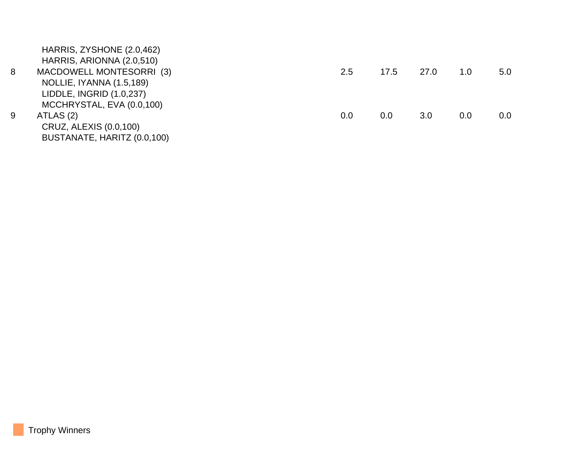|   | HARRIS, ZYSHONE (2.0,462)   |     |      |      |     |         |
|---|-----------------------------|-----|------|------|-----|---------|
|   | HARRIS, ARIONNA (2.0,510)   |     |      |      |     |         |
| 8 | MACDOWELL MONTESORRI (3)    | 2.5 | 17.5 | 27.0 | 1.0 | 5.0     |
|   | NOLLIE, IYANNA (1.5,189)    |     |      |      |     |         |
|   | LIDDLE, INGRID (1.0,237)    |     |      |      |     |         |
|   | MCCHRYSTAL, EVA (0.0,100)   |     |      |      |     |         |
| 9 | ATLAS (2)                   | 0.0 | 0.0  | 3.0  | 0.0 | $0.0\,$ |
|   | CRUZ, ALEXIS (0.0,100)      |     |      |      |     |         |
|   | BUSTANATE, HARITZ (0.0,100) |     |      |      |     |         |
|   |                             |     |      |      |     |         |